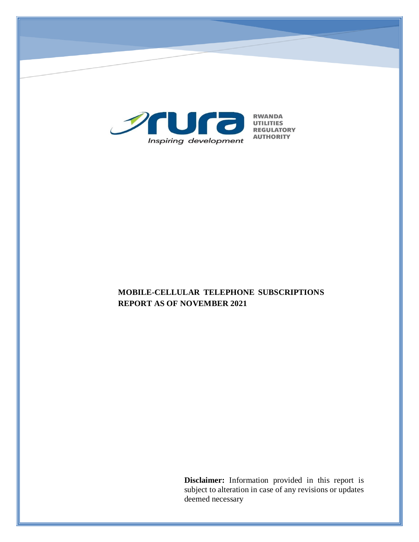

# **MOBILE-CELLULAR TELEPHONE SUBSCRIPTIONS REPORT AS OF NOVEMBER 2021**

**Disclaimer:** Information provided in this report is subject to alteration in case of any revisions or updates deemed necessary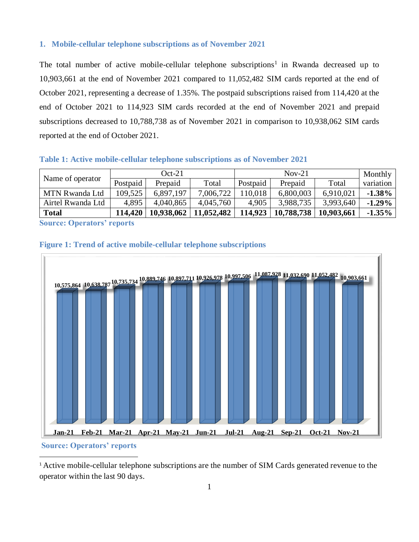## **1. Mobile-cellular telephone subscriptions as of November 2021**

The total number of active mobile-cellular telephone subscriptions<sup>1</sup> in Rwanda decreased up to 10,903,661 at the end of November 2021 compared to 11,052,482 SIM cards reported at the end of October 2021, representing a decrease of 1.35%. The postpaid subscriptions raised from 114,420 at the end of October 2021 to 114,923 SIM cards recorded at the end of November 2021 and prepaid subscriptions decreased to 10,788,738 as of November 2021 in comparison to 10,938,062 SIM cards reported at the end of October 2021.

#### **Table 1: Active mobile-cellular telephone subscriptions as of November 2021**

| Name of operator  | $Oct-21$ |            |            | $Nov-21$ |            |            | Monthly   |
|-------------------|----------|------------|------------|----------|------------|------------|-----------|
|                   | Postpaid | Prepaid    | Total      | Postpaid | Prepaid    | Total      | variation |
| MTN Rwanda Ltd    | 109,525  | 6.897.197  | 7,006,722  | 10.018   | 6,800,003  | 6,910,021  | $-1.38\%$ |
| Airtel Rwanda Ltd | 4.895    | 4.040.865  | 4,045,760  | 4,905    | 3,988,735  | 3,993,640  | $-1.29\%$ |
| <b>Total</b>      | 114,420  | 10,938,062 | 11,052,482 | 114,923  | 10,788,738 | 10,903,661 | $-1.35%$  |

**Source: Operators' reports**





# **Source: Operators' reports**

 $\overline{a}$ 

<sup>1</sup> Active mobile-cellular telephone subscriptions are the number of SIM Cards generated revenue to the operator within the last 90 days.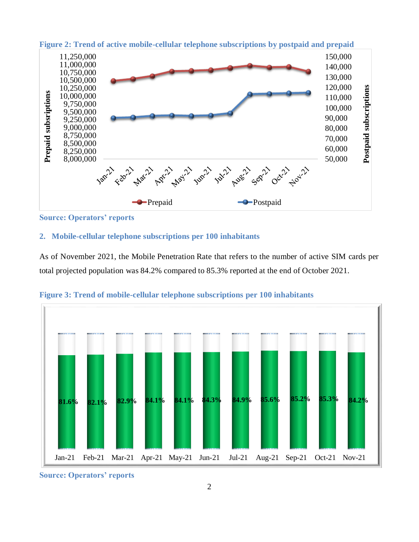

**Figure 2: Trend of active mobile-cellular telephone subscriptions by postpaid and prepaid**

**Source: Operators' reports**

## **2. Mobile-cellular telephone subscriptions per 100 inhabitants**

As of November 2021, the Mobile Penetration Rate that refers to the number of active SIM cards per total projected population was 84.2% compared to 85.3% reported at the end of October 2021.



**Figure 3: Trend of mobile-cellular telephone subscriptions per 100 inhabitants**

**Source: Operators' reports**